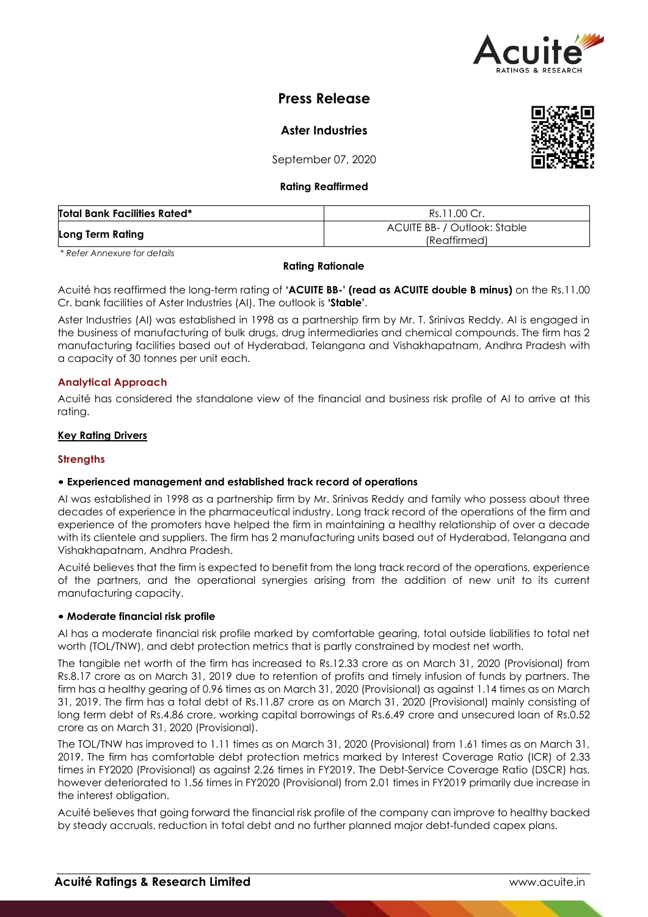

# **Press Release**

**Aster Industries**

September 07, 2020

## **Rating Reaffirmed**

| <b>Total Bank Facilities Rated*</b> | Rs.11.00 Cr.                                 |
|-------------------------------------|----------------------------------------------|
| Long Term Rating                    | ACUITE BB- / Outlook: Stable<br>(Reaffirmed) |

*\* Refer Annexure for details*

## **Rating Rationale**

Acuité has reaffirmed the long-term rating of **'ACUITE BB-' (read as ACUITE double B minus)** on the Rs.11.00 Cr. bank facilities of Aster Industries (AI). The outlook is **'Stable'**.

Aster Industries (AI) was established in 1998 as a partnership firm by Mr. T. Srinivas Reddy. AI is engaged in the business of manufacturing of bulk drugs, drug intermediaries and chemical compounds. The firm has 2 manufacturing facilities based out of Hyderabad, Telangana and Vishakhapatnam, Andhra Pradesh with a capacity of 30 tonnes per unit each.

## **Analytical Approach**

Acuité has considered the standalone view of the financial and business risk profile of AI to arrive at this rating.

## **Key Rating Drivers**

## **Strengths**

## • **Experienced management and established track record of operations**

AI was established in 1998 as a partnership firm by Mr. Srinivas Reddy and family who possess about three decades of experience in the pharmaceutical industry. Long track record of the operations of the firm and experience of the promoters have helped the firm in maintaining a healthy relationship of over a decade with its clientele and suppliers. The firm has 2 manufacturing units based out of Hyderabad, Telangana and Vishakhapatnam, Andhra Pradesh.

Acuité believes that the firm is expected to benefit from the long track record of the operations, experience of the partners, and the operational synergies arising from the addition of new unit to its current manufacturing capacity.

### • **Moderate financial risk profile**

AI has a moderate financial risk profile marked by comfortable gearing, total outside liabilities to total net worth (TOL/TNW), and debt protection metrics that is partly constrained by modest net worth.

The tangible net worth of the firm has increased to Rs.12.33 crore as on March 31, 2020 (Provisional) from Rs.8.17 crore as on March 31, 2019 due to retention of profits and timely infusion of funds by partners. The firm has a healthy gearing of 0.96 times as on March 31, 2020 (Provisional) as against 1.14 times as on March 31, 2019. The firm has a total debt of Rs.11.87 crore as on March 31, 2020 (Provisional) mainly consisting of long term debt of Rs.4.86 crore, working capital borrowings of Rs.6.49 crore and unsecured loan of Rs.0.52 crore as on March 31, 2020 (Provisional).

The TOL/TNW has improved to 1.11 times as on March 31, 2020 (Provisional) from 1.61 times as on March 31, 2019. The firm has comfortable debt protection metrics marked by Interest Coverage Ratio (ICR) of 2.33 times in FY2020 (Provisional) as against 2.26 times in FY2019. The Debt-Service Coverage Ratio (DSCR) has, however deteriorated to 1.56 times in FY2020 (Provisional) from 2.01 times in FY2019 primarily due increase in the interest obligation.

Acuité believes that going forward the financial risk profile of the company can improve to healthy backed by steady accruals, reduction in total debt and no further planned major debt-funded capex plans.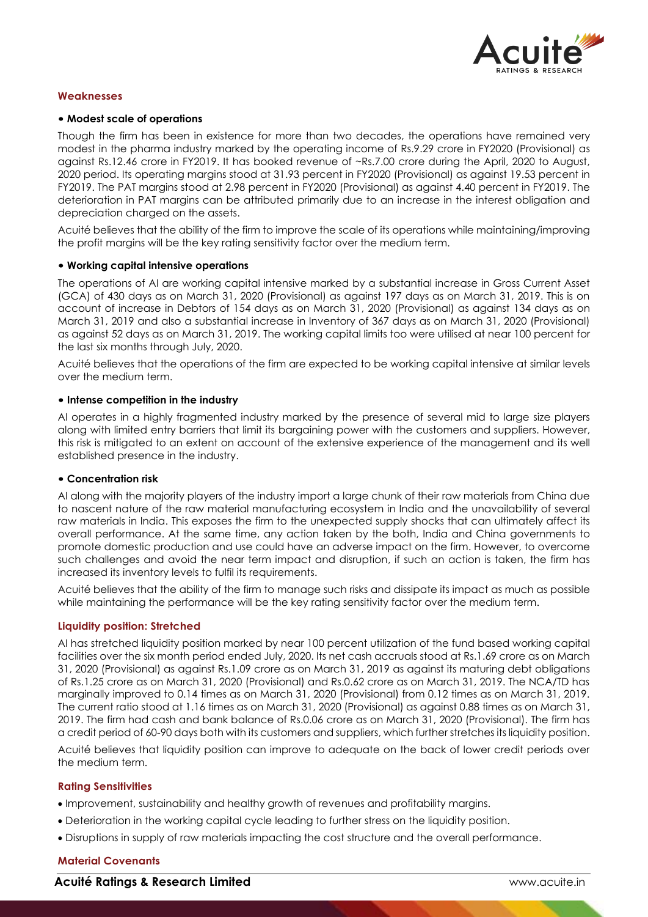

### **Weaknesses**

### • **Modest scale of operations**

Though the firm has been in existence for more than two decades, the operations have remained very modest in the pharma industry marked by the operating income of Rs.9.29 crore in FY2020 (Provisional) as against Rs.12.46 crore in FY2019. It has booked revenue of ~Rs.7.00 crore during the April, 2020 to August, 2020 period. Its operating margins stood at 31.93 percent in FY2020 (Provisional) as against 19.53 percent in FY2019. The PAT margins stood at 2.98 percent in FY2020 (Provisional) as against 4.40 percent in FY2019. The deterioration in PAT margins can be attributed primarily due to an increase in the interest obligation and depreciation charged on the assets.

Acuité believes that the ability of the firm to improve the scale of its operations while maintaining/improving the profit margins will be the key rating sensitivity factor over the medium term.

### • **Working capital intensive operations**

The operations of AI are working capital intensive marked by a substantial increase in Gross Current Asset (GCA) of 430 days as on March 31, 2020 (Provisional) as against 197 days as on March 31, 2019. This is on account of increase in Debtors of 154 days as on March 31, 2020 (Provisional) as against 134 days as on March 31, 2019 and also a substantial increase in Inventory of 367 days as on March 31, 2020 (Provisional) as against 52 days as on March 31, 2019. The working capital limits too were utilised at near 100 percent for the last six months through July, 2020.

Acuité believes that the operations of the firm are expected to be working capital intensive at similar levels over the medium term.

#### • **Intense competition in the industry**

AI operates in a highly fragmented industry marked by the presence of several mid to large size players along with limited entry barriers that limit its bargaining power with the customers and suppliers. However, this risk is mitigated to an extent on account of the extensive experience of the management and its well established presence in the industry.

### • **Concentration risk**

AI along with the majority players of the industry import a large chunk of their raw materials from China due to nascent nature of the raw material manufacturing ecosystem in India and the unavailability of several raw materials in India. This exposes the firm to the unexpected supply shocks that can ultimately affect its overall performance. At the same time, any action taken by the both, India and China governments to promote domestic production and use could have an adverse impact on the firm. However, to overcome such challenges and avoid the near term impact and disruption, if such an action is taken, the firm has increased its inventory levels to fulfil its requirements.

Acuité believes that the ability of the firm to manage such risks and dissipate its impact as much as possible while maintaining the performance will be the key rating sensitivity factor over the medium term.

#### **Liquidity position: Stretched**

AI has stretched liquidity position marked by near 100 percent utilization of the fund based working capital facilities over the six month period ended July, 2020. Its net cash accruals stood at Rs.1.69 crore as on March 31, 2020 (Provisional) as against Rs.1.09 crore as on March 31, 2019 as against its maturing debt obligations of Rs.1.25 crore as on March 31, 2020 (Provisional) and Rs.0.62 crore as on March 31, 2019. The NCA/TD has marginally improved to 0.14 times as on March 31, 2020 (Provisional) from 0.12 times as on March 31, 2019. The current ratio stood at 1.16 times as on March 31, 2020 (Provisional) as against 0.88 times as on March 31, 2019. The firm had cash and bank balance of Rs.0.06 crore as on March 31, 2020 (Provisional). The firm has a credit period of 60-90 days both with its customers and suppliers, which further stretches its liquidity position.

Acuité believes that liquidity position can improve to adequate on the back of lower credit periods over the medium term.

#### **Rating Sensitivities**

- Improvement, sustainability and healthy growth of revenues and profitability margins.
- Deterioration in the working capital cycle leading to further stress on the liquidity position.
- Disruptions in supply of raw materials impacting the cost structure and the overall performance.

### **Material Covenants**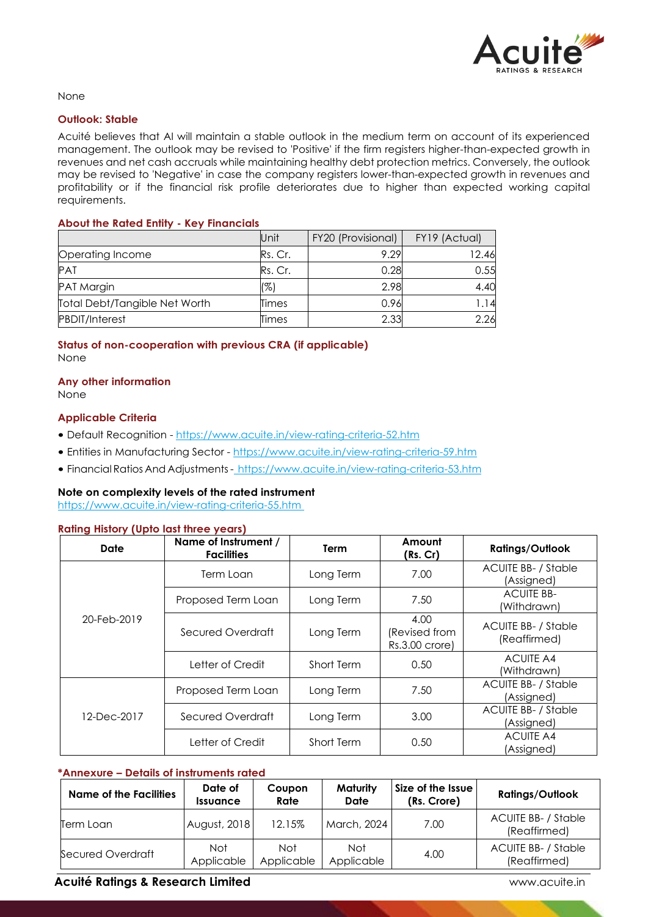

None

### **Outlook: Stable**

Acuité believes that AI will maintain a stable outlook in the medium term on account of its experienced management. The outlook may be revised to 'Positive' if the firm registers higher-than-expected growth in revenues and net cash accruals while maintaining healthy debt protection metrics. Conversely, the outlook may be revised to 'Negative' in case the company registers lower-than-expected growth in revenues and profitability or if the financial risk profile deteriorates due to higher than expected working capital requirements.

## **About the Rated Entity - Key Financials**

|                               | Unit    | FY20 (Provisional) | FY19 (Actual) |
|-------------------------------|---------|--------------------|---------------|
| Operating Income              | Rs. Cr. | 9.29               | 12.46         |
| <b>PAT</b>                    | Rs. Cr. | 0.28               | 0.55          |
| <b>PAT Margin</b>             | (%)     | 2.98               | 4.40          |
| Total Debt/Tangible Net Worth | Times   | 0.96               | .14           |
| <b>PBDIT/Interest</b>         | Times   | 2.33               | 2.26          |

## **Status of non-cooperation with previous CRA (if applicable)** None

# **Any other information**

None

## **Applicable Criteria**

- Default Recognition https://www.acuite.in/view-rating-criteria-52.htm
- Entities in Manufacturing Sector https://www.acuite.in/view-rating-criteria-59.htm
- Financial Ratios And Adjustments https://www.acuite.in/view-rating-criteria-53.htm

## **Note on complexity levels of the rated instrument**

https://www.acuite.in/view-rating-criteria-55.htm

### **Rating History (Upto last three years)**

| Date        | Name of Instrument /<br><b>Facilities</b> | Term       | Amount<br>(Rs. Cr)                      | <b>Ratings/Outlook</b>                     |
|-------------|-------------------------------------------|------------|-----------------------------------------|--------------------------------------------|
| 20-Feb-2019 | Term Loan                                 | Long Term  | 7.00                                    | <b>ACUITE BB- / Stable</b><br>(Assigned)   |
|             | Proposed Term Loan                        | Long Term  | 7.50                                    | <b>ACUITE BB-</b><br>(Withdrawn)           |
|             | Secured Overdraft                         | Long Term  | 4.00<br>(Revised from<br>Rs.3.00 crore) | <b>ACUITE BB- / Stable</b><br>(Reaffirmed) |
|             | Letter of Credit                          | Short Term | 0.50                                    | <b>ACUITE A4</b><br>(Withdrawn)            |
|             | Proposed Term Loan                        | Long Term  | 7.50                                    | <b>ACUITE BB- / Stable</b><br>(Assigned)   |
| 12-Dec-2017 | Secured Overdraft                         | Long Term  | 3.00                                    | <b>ACUITE BB- / Stable</b><br>(Assigned)   |
|             | Letter of Credit                          | Short Term | 0.50                                    | <b>ACUITE A4</b><br>(Assigned)             |

## **\*Annexure – Details of instruments rated**

| <b>Name of the Facilities</b> | Date of<br><i><u><b>Issuance</b></u></i> | Coupon<br>Rate    | Maturity<br>Date  | Size of the Issue<br>(Rs. Crore) | <b>Ratings/Outlook</b>                     |
|-------------------------------|------------------------------------------|-------------------|-------------------|----------------------------------|--------------------------------------------|
| Term Loan                     | August, 2018                             | 12.15%            | March, 2024       | 7.00                             | <b>ACUITE BB- / Stable</b><br>(Reaffirmed) |
| Secured Overdraft             | <b>Not</b><br>Applicable                 | Not<br>Applicable | Not<br>Applicable | 4.00                             | <b>ACUITE BB- / Stable</b><br>(Reaffirmed) |